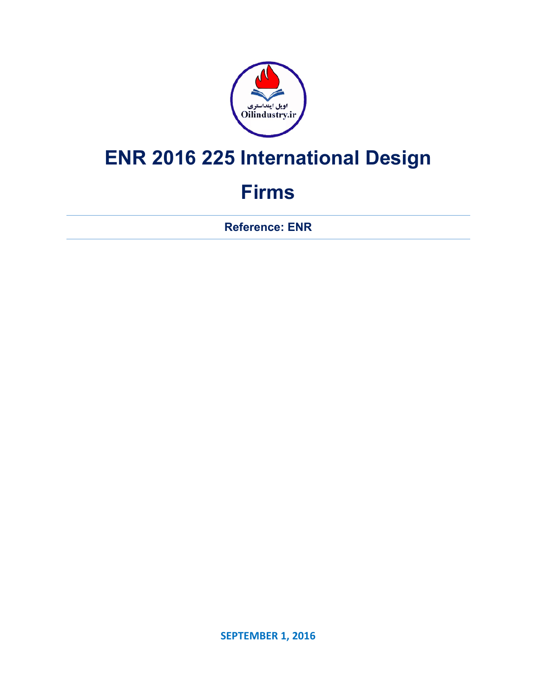

# **ENR 2016 225 International Design**

## **Firms**

**Reference: ENR** 

**SEPTEMBER 1, 2016**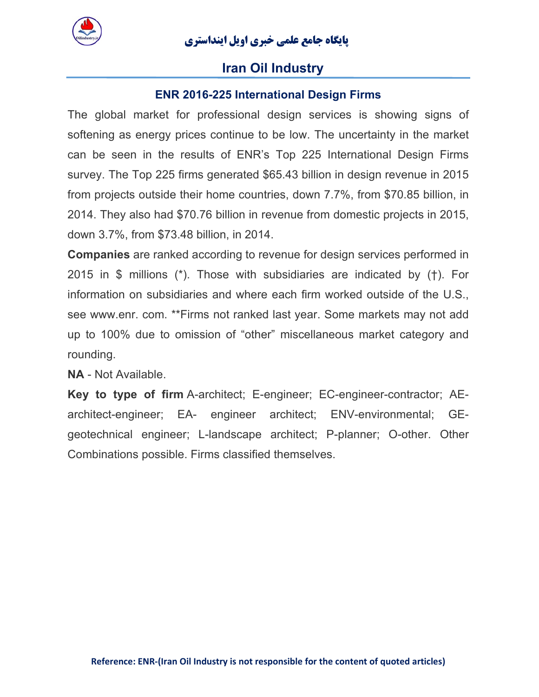

#### **Iran Oil Industry**

#### **ENR 2016-225 International Design Firms**

The global market for professional design services is showing signs of softening as energy prices continue to be low. The uncertainty in the market can be seen in the results of ENR's Top 225 International Design Firms survey. The Top 225 firms generated \$65.43 billion in design revenue in 2015 from projects outside their home countries, down 7.7%, from \$70.85 billion, in 2014. They also had \$70.76 billion in revenue from domestic projects in 2015, down 3.7%, from \$73.48 billion, in 2014.

**Companies** are ranked according to revenue for design services performed in 2015 in \$ millions (\*). Those with subsidiaries are indicated by (†). For information on subsidiaries and where each firm worked outside of the U.S., see www.enr. com. \*\*Firms not ranked last year. Some markets may not add up to 100% due to omission of "other" miscellaneous market category and rounding.

**NA** - Not Available.

**Key to type of firm** A-architect; E-engineer; EC-engineer-contractor; AEarchitect-engineer; EA- engineer architect; ENV-environmental; GEgeotechnical engineer; L-landscape architect; P-planner; O-other. Other Combinations possible. Firms classified themselves.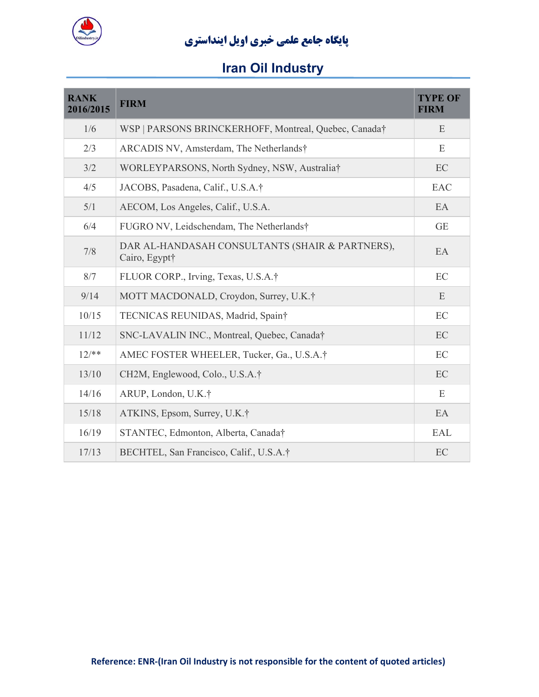

| <b>RANK</b><br>2016/2015 | <b>FIRM</b>                                                      | <b>TYPE OF</b><br><b>FIRM</b> |
|--------------------------|------------------------------------------------------------------|-------------------------------|
| 1/6                      | WSP   PARSONS BRINCKERHOFF, Montreal, Quebec, Canada†            | E                             |
| 2/3                      | ARCADIS NV, Amsterdam, The Netherlands†                          | E                             |
| 3/2                      | WORLEYPARSONS, North Sydney, NSW, Australia†                     | EC                            |
| 4/5                      | JACOBS, Pasadena, Calif., U.S.A.†                                | EAC                           |
| 5/1                      | AECOM, Los Angeles, Calif., U.S.A.                               | EA                            |
| 6/4                      | FUGRO NV, Leidschendam, The Netherlands†                         | <b>GE</b>                     |
| 7/8                      | DAR AL-HANDASAH CONSULTANTS (SHAIR & PARTNERS),<br>Cairo, Egypt† | EA                            |
| 8/7                      | FLUOR CORP., Irving, Texas, U.S.A.†                              | EC                            |
| 9/14                     | MOTT MACDONALD, Croydon, Surrey, U.K.†                           | E                             |
| 10/15                    | TECNICAS REUNIDAS, Madrid, Spain†                                | EC                            |
| 11/12                    | SNC-LAVALIN INC., Montreal, Quebec, Canada†                      | EC                            |
| $12/**$                  | AMEC FOSTER WHEELER, Tucker, Ga., U.S.A.†                        | EC                            |
| 13/10                    | CH2M, Englewood, Colo., U.S.A.†                                  | EC                            |
| 14/16                    | ARUP, London, U.K.†                                              | E                             |
| 15/18                    | ATKINS, Epsom, Surrey, U.K.†                                     | EA                            |
| 16/19                    | STANTEC, Edmonton, Alberta, Canada†                              | <b>EAL</b>                    |
| 17/13                    | BECHTEL, San Francisco, Calif., U.S.A.†                          | EC                            |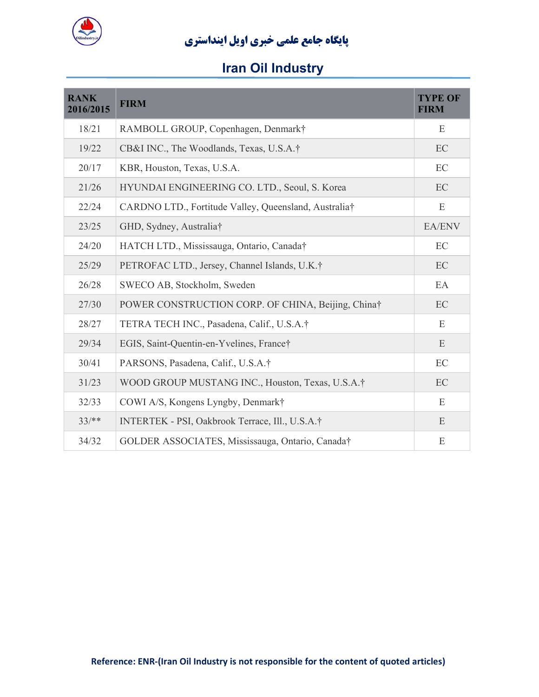

| <b>RANK</b><br>2016/2015 | <b>FIRM</b>                                           | <b>TYPE OF</b><br><b>FIRM</b> |
|--------------------------|-------------------------------------------------------|-------------------------------|
| 18/21                    | RAMBOLL GROUP, Copenhagen, Denmark†                   | E                             |
| 19/22                    | CB&I INC., The Woodlands, Texas, U.S.A.†              | EC                            |
| 20/17                    | KBR, Houston, Texas, U.S.A.                           | EC                            |
| 21/26                    | HYUNDAI ENGINEERING CO. LTD., Seoul, S. Korea         | EC                            |
| 22/24                    | CARDNO LTD., Fortitude Valley, Queensland, Australia† | E                             |
| 23/25                    | GHD, Sydney, Australia†                               | EA/ENV                        |
| 24/20                    | HATCH LTD., Mississauga, Ontario, Canada†             | EC                            |
| 25/29                    | PETROFAC LTD., Jersey, Channel Islands, U.K.†         | EC                            |
| 26/28                    | SWECO AB, Stockholm, Sweden                           | EA                            |
| 27/30                    | POWER CONSTRUCTION CORP. OF CHINA, Beijing, China†    | EC                            |
| 28/27                    | TETRA TECH INC., Pasadena, Calif., U.S.A.†            | E                             |
| 29/34                    | EGIS, Saint-Quentin-en-Yvelines, France†              | E                             |
| 30/41                    | PARSONS, Pasadena, Calif., U.S.A.†                    | EC                            |
| 31/23                    | WOOD GROUP MUSTANG INC., Houston, Texas, U.S.A.†      | EC                            |
| 32/33                    | COWI A/S, Kongens Lyngby, Denmark†                    | E                             |
| $33/**$                  | INTERTEK - PSI, Oakbrook Terrace, Ill., U.S.A.†       | E                             |
| 34/32                    | GOLDER ASSOCIATES, Mississauga, Ontario, Canada†      | E                             |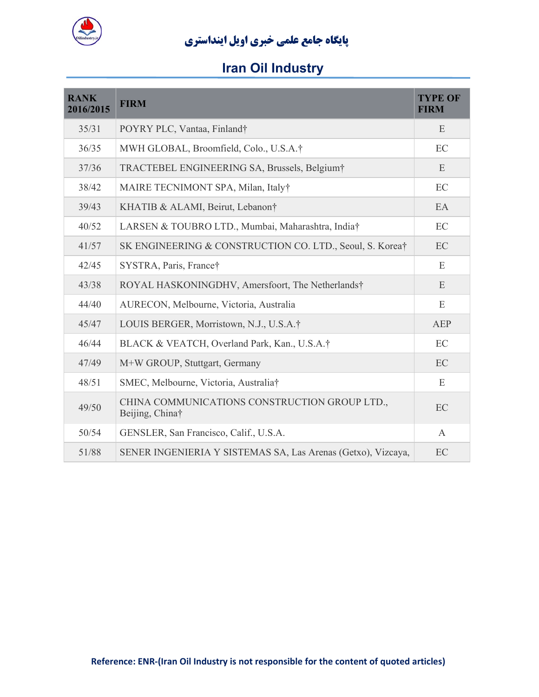

| <b>RANK</b><br>2016/2015 | <b>FIRM</b>                                                      | <b>TYPE OF</b><br><b>FIRM</b> |
|--------------------------|------------------------------------------------------------------|-------------------------------|
| 35/31                    | POYRY PLC, Vantaa, Finland†                                      | E                             |
| 36/35                    | MWH GLOBAL, Broomfield, Colo., U.S.A.†                           | EC                            |
| 37/36                    | TRACTEBEL ENGINEERING SA, Brussels, Belgium*                     | E                             |
| 38/42                    | MAIRE TECNIMONT SPA, Milan, Italy†                               | EC                            |
| 39/43                    | KHATIB & ALAMI, Beirut, Lebanon†                                 | EA                            |
| 40/52                    | LARSEN & TOUBRO LTD., Mumbai, Maharashtra, India†                | EC                            |
| 41/57                    | SK ENGINEERING & CONSTRUCTION CO. LTD., Seoul, S. Korea†         | EC                            |
| 42/45                    | SYSTRA, Paris, France†                                           | E                             |
| 43/38                    | ROYAL HASKONINGDHV, Amersfoort, The Netherlands†                 | E                             |
| 44/40                    | AURECON, Melbourne, Victoria, Australia                          | E                             |
| 45/47                    | LOUIS BERGER, Morristown, N.J., U.S.A.†                          | <b>AEP</b>                    |
| 46/44                    | BLACK & VEATCH, Overland Park, Kan., U.S.A.†                     | EC                            |
| 47/49                    | M+W GROUP, Stuttgart, Germany                                    | EC                            |
| 48/51                    | SMEC, Melbourne, Victoria, Australia†                            | E                             |
| 49/50                    | CHINA COMMUNICATIONS CONSTRUCTION GROUP LTD.,<br>Beijing, China† | EC                            |
| 50/54                    | GENSLER, San Francisco, Calif., U.S.A.                           | $\mathbf{A}$                  |
| 51/88                    | SENER INGENIERIA Y SISTEMAS SA, Las Arenas (Getxo), Vizcaya,     | EC                            |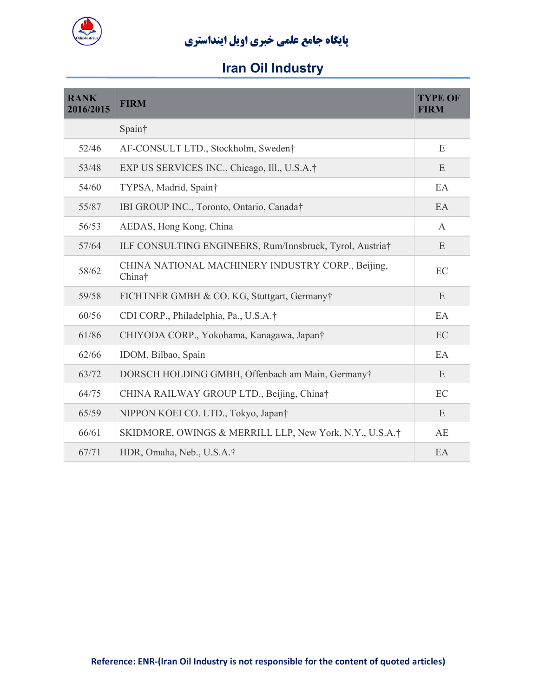

| <b>RANK</b><br>2016/2015 | <b>FIRM</b>                                                 | <b>TYPE OF</b><br><b>FIRM</b> |
|--------------------------|-------------------------------------------------------------|-------------------------------|
|                          | Spain†                                                      |                               |
| 52/46                    | AF-CONSULT LTD., Stockholm, Sweden†                         | E                             |
| 53/48                    | EXP US SERVICES INC., Chicago, Ill., U.S.A.†                | E                             |
| 54/60                    | TYPSA, Madrid, Spain†                                       | EA                            |
| 55/87                    | IBI GROUP INC., Toronto, Ontario, Canada†                   | EA                            |
| 56/53                    | AEDAS, Hong Kong, China                                     | $\mathbf{A}$                  |
| 57/64                    | ILF CONSULTING ENGINEERS, Rum/Innsbruck, Tyrol, Austria†    | E                             |
| 58/62                    | CHINA NATIONAL MACHINERY INDUSTRY CORP., Beijing,<br>China† | EC                            |
| 59/58                    | FICHTNER GMBH & CO. KG, Stuttgart, Germany†                 | E                             |
| 60/56                    | CDI CORP., Philadelphia, Pa., U.S.A.†                       | EA                            |
| 61/86                    | CHIYODA CORP., Yokohama, Kanagawa, Japan†                   | EC                            |
| 62/66                    | IDOM, Bilbao, Spain                                         | EA                            |
| 63/72                    | DORSCH HOLDING GMBH, Offenbach am Main, Germanyt            | E                             |
| 64/75                    | CHINA RAILWAY GROUP LTD., Beijing, China†                   | EC                            |
| 65/59                    | NIPPON KOEI CO. LTD., Tokyo, Japan†                         | E                             |
| 66/61                    | SKIDMORE, OWINGS & MERRILL LLP, New York, N.Y., U.S.A.†     | AE                            |
| 67/71                    | HDR, Omaha, Neb., U.S.A.†                                   | EA                            |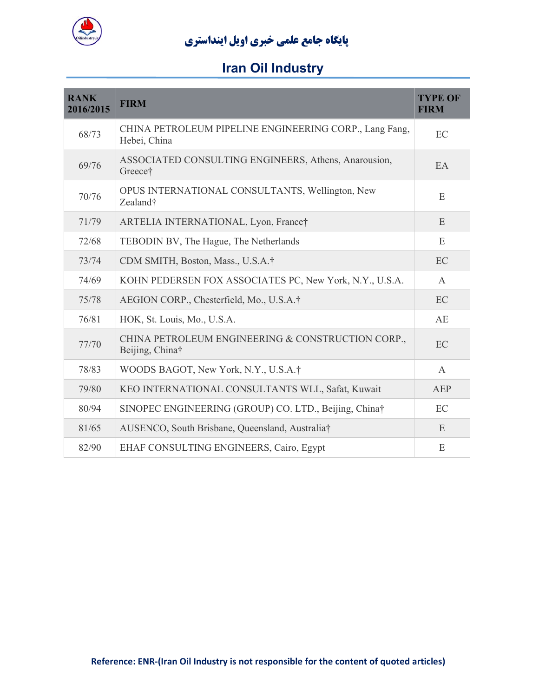

| <b>RANK</b><br>2016/2015 | <b>FIRM</b>                                                            | <b>TYPE OF</b><br><b>FIRM</b> |
|--------------------------|------------------------------------------------------------------------|-------------------------------|
| 68/73                    | CHINA PETROLEUM PIPELINE ENGINEERING CORP., Lang Fang,<br>Hebei, China | EC                            |
| 69/76                    | ASSOCIATED CONSULTING ENGINEERS, Athens, Anarousion,<br>Greece†        | EA                            |
| 70/76                    | OPUS INTERNATIONAL CONSULTANTS, Wellington, New<br>Zealand†            | E                             |
| 71/79                    | ARTELIA INTERNATIONAL, Lyon, France†                                   | E                             |
| 72/68                    | TEBODIN BV, The Hague, The Netherlands                                 | E                             |
| 73/74                    | CDM SMITH, Boston, Mass., U.S.A.†                                      | EC                            |
| 74/69                    | KOHN PEDERSEN FOX ASSOCIATES PC, New York, N.Y., U.S.A.                | $\overline{A}$                |
| 75/78                    | AEGION CORP., Chesterfield, Mo., U.S.A.†                               | EC                            |
| 76/81                    | HOK, St. Louis, Mo., U.S.A.                                            | AE                            |
| 77/70                    | CHINA PETROLEUM ENGINEERING & CONSTRUCTION CORP.,<br>Beijing, China†   | EC                            |
| 78/83                    | WOODS BAGOT, New York, N.Y., U.S.A.†                                   | $\overline{A}$                |
| 79/80                    | KEO INTERNATIONAL CONSULTANTS WLL, Safat, Kuwait                       | AEP                           |
| 80/94                    | SINOPEC ENGINEERING (GROUP) CO. LTD., Beijing, China†                  | EC                            |
| 81/65                    | AUSENCO, South Brisbane, Queensland, Australia†                        | E                             |
| 82/90                    | EHAF CONSULTING ENGINEERS, Cairo, Egypt                                | E                             |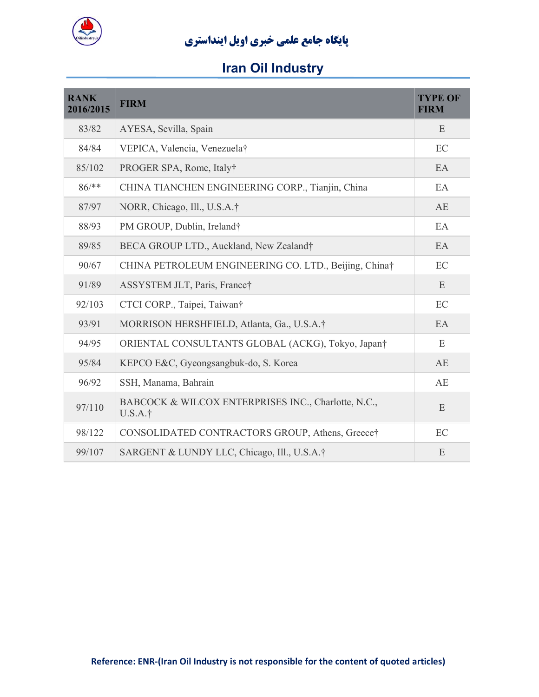

| <b>RANK</b><br>2016/2015 | <b>FIRM</b>                                                    | <b>TYPE OF</b><br><b>FIRM</b> |
|--------------------------|----------------------------------------------------------------|-------------------------------|
| 83/82                    | AYESA, Sevilla, Spain                                          | E                             |
| 84/84                    | VEPICA, Valencia, Venezuela†                                   | EC                            |
| 85/102                   | PROGER SPA, Rome, Italy†                                       | EA                            |
| $86$ /**                 | CHINA TIANCHEN ENGINEERING CORP., Tianjin, China               | EA                            |
| 87/97                    | NORR, Chicago, Ill., U.S.A.†                                   | AE                            |
| 88/93                    | PM GROUP, Dublin, Ireland†                                     | EA                            |
| 89/85                    | BECA GROUP LTD., Auckland, New Zealand†                        | EA                            |
| 90/67                    | CHINA PETROLEUM ENGINEERING CO. LTD., Beijing, China†          | EC                            |
| 91/89                    | ASSYSTEM JLT, Paris, France†                                   | E                             |
| 92/103                   | CTCI CORP., Taipei, Taiwan†                                    | EC                            |
| 93/91                    | MORRISON HERSHFIELD, Atlanta, Ga., U.S.A.†                     | EA                            |
| 94/95                    | ORIENTAL CONSULTANTS GLOBAL (ACKG), Tokyo, Japan <sup>†</sup>  | E                             |
| 95/84                    | KEPCO E&C, Gyeongsangbuk-do, S. Korea                          | AE                            |
| 96/92                    | SSH, Manama, Bahrain                                           | AE                            |
| 97/110                   | BABCOCK & WILCOX ENTERPRISES INC., Charlotte, N.C.,<br>U.S.A.† | E                             |
| 98/122                   | CONSOLIDATED CONTRACTORS GROUP, Athens, Greece†                | EC                            |
| 99/107                   | SARGENT & LUNDY LLC, Chicago, Ill., U.S.A.†                    | E                             |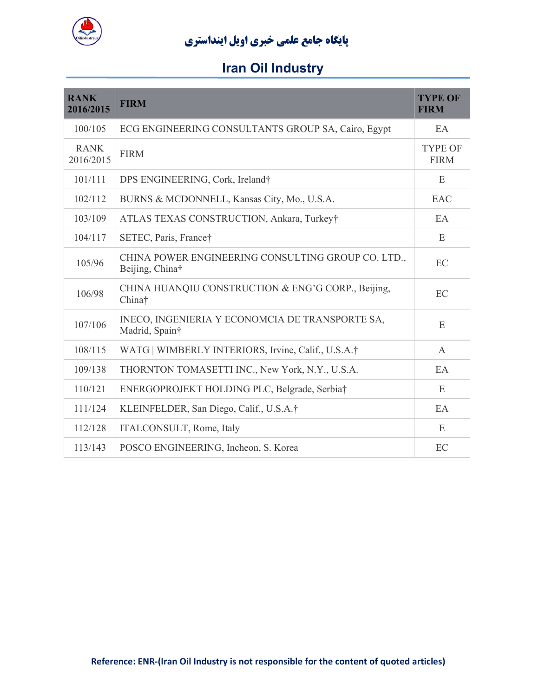

| <b>RANK</b><br>2016/2015 | <b>FIRM</b>                                                           | <b>TYPE OF</b><br><b>FIRM</b> |
|--------------------------|-----------------------------------------------------------------------|-------------------------------|
| 100/105                  | ECG ENGINEERING CONSULTANTS GROUP SA, Cairo, Egypt                    | EA                            |
| <b>RANK</b><br>2016/2015 | <b>FIRM</b>                                                           | <b>TYPE OF</b><br><b>FIRM</b> |
| 101/111                  | DPS ENGINEERING, Cork, Ireland†                                       | E                             |
| 102/112                  | BURNS & MCDONNELL, Kansas City, Mo., U.S.A.                           | EAC                           |
| 103/109                  | ATLAS TEXAS CONSTRUCTION, Ankara, Turkey†                             | EA                            |
| 104/117                  | SETEC, Paris, France†                                                 | E                             |
| 105/96                   | CHINA POWER ENGINEERING CONSULTING GROUP CO. LTD.,<br>Beijing, China† | EC                            |
| 106/98                   | CHINA HUANQIU CONSTRUCTION & ENG'G CORP., Beijing,<br>China†          | EC                            |
| 107/106                  | INECO, INGENIERIA Y ECONOMCIA DE TRANSPORTE SA,<br>Madrid, Spain†     | E                             |
| 108/115                  | WATG   WIMBERLY INTERIORS, Irvine, Calif., U.S.A.†                    | A                             |
| 109/138                  | THORNTON TOMASETTI INC., New York, N.Y., U.S.A.                       | EA                            |
| 110/121                  | ENERGOPROJEKT HOLDING PLC, Belgrade, Serbia†                          | E                             |
| 111/124                  | KLEINFELDER, San Diego, Calif., U.S.A.†                               | EA                            |
| 112/128                  | ITALCONSULT, Rome, Italy                                              | E                             |
| 113/143                  | POSCO ENGINEERING, Incheon, S. Korea                                  | EC                            |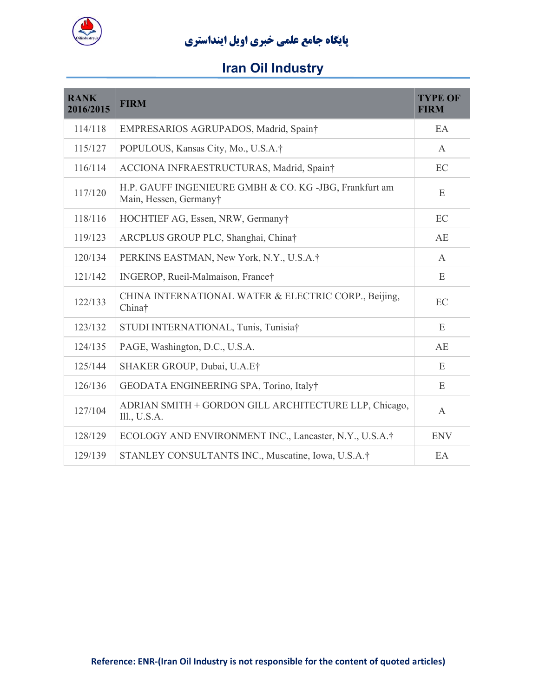

| <b>RANK</b><br>2016/2015 | <b>FIRM</b>                                                                      | <b>TYPE OF</b><br><b>FIRM</b> |
|--------------------------|----------------------------------------------------------------------------------|-------------------------------|
| 114/118                  | EMPRESARIOS AGRUPADOS, Madrid, Spain†                                            | EA                            |
| 115/127                  | POPULOUS, Kansas City, Mo., U.S.A.†                                              | $\mathsf{A}$                  |
| 116/114                  | ACCIONA INFRAESTRUCTURAS, Madrid, Spain†                                         | EC                            |
| 117/120                  | H.P. GAUFF INGENIEURE GMBH & CO. KG -JBG, Frankfurt am<br>Main, Hessen, Germany† | E                             |
| 118/116                  | HOCHTIEF AG, Essen, NRW, Germany†                                                | EC                            |
| 119/123                  | ARCPLUS GROUP PLC, Shanghai, China†                                              | AE                            |
| 120/134                  | PERKINS EASTMAN, New York, N.Y., U.S.A.†                                         | A                             |
| 121/142                  | INGEROP, Rueil-Malmaison, France†                                                | E                             |
| 122/133                  | CHINA INTERNATIONAL WATER & ELECTRIC CORP., Beijing,<br>China†                   | EC                            |
| 123/132                  | STUDI INTERNATIONAL, Tunis, Tunisia†                                             | E                             |
| 124/135                  | PAGE, Washington, D.C., U.S.A.                                                   | AE                            |
| 125/144                  | SHAKER GROUP, Dubai, U.A.E†                                                      | E                             |
| 126/136                  | GEODATA ENGINEERING SPA, Torino, Italy†                                          | E                             |
| 127/104                  | ADRIAN SMITH + GORDON GILL ARCHITECTURE LLP, Chicago,<br>III., U.S.A.            | $\mathbf{A}$                  |
| 128/129                  | ECOLOGY AND ENVIRONMENT INC., Lancaster, N.Y., U.S.A.†                           | <b>ENV</b>                    |
| 129/139                  | STANLEY CONSULTANTS INC., Muscatine, Iowa, U.S.A.†                               | EA                            |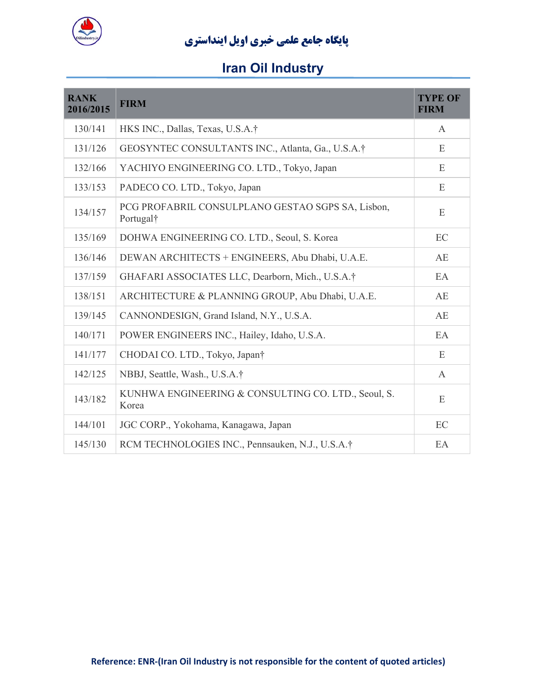

| <b>RANK</b><br>2016/2015 | <b>FIRM</b>                                                                | <b>TYPE OF</b><br><b>FIRM</b> |
|--------------------------|----------------------------------------------------------------------------|-------------------------------|
| 130/141                  | HKS INC., Dallas, Texas, U.S.A.†                                           | $\mathsf{A}$                  |
| 131/126                  | GEOSYNTEC CONSULTANTS INC., Atlanta, Ga., U.S.A.†                          | E                             |
| 132/166                  | YACHIYO ENGINEERING CO. LTD., Tokyo, Japan                                 | E                             |
| 133/153                  | PADECO CO. LTD., Tokyo, Japan                                              | E                             |
| 134/157                  | PCG PROFABRIL CONSULPLANO GESTAO SGPS SA, Lisbon,<br>Portugal <sup>†</sup> | E                             |
| 135/169                  | DOHWA ENGINEERING CO. LTD., Seoul, S. Korea                                | EC                            |
| 136/146                  | DEWAN ARCHITECTS + ENGINEERS, Abu Dhabi, U.A.E.                            | AE                            |
| 137/159                  | GHAFARI ASSOCIATES LLC, Dearborn, Mich., U.S.A.†                           | EA                            |
| 138/151                  | ARCHITECTURE & PLANNING GROUP, Abu Dhabi, U.A.E.                           | AE                            |
| 139/145                  | CANNONDESIGN, Grand Island, N.Y., U.S.A.                                   | AE                            |
| 140/171                  | POWER ENGINEERS INC., Hailey, Idaho, U.S.A.                                | EA                            |
| 141/177                  | CHODAI CO. LTD., Tokyo, Japan†                                             | E                             |
| 142/125                  | NBBJ, Seattle, Wash., U.S.A.†                                              | $\mathbf{A}$                  |
| 143/182                  | KUNHWA ENGINEERING & CONSULTING CO. LTD., Seoul, S.<br>Korea               | E                             |
| 144/101                  | JGC CORP., Yokohama, Kanagawa, Japan                                       | EC                            |
| 145/130                  | RCM TECHNOLOGIES INC., Pennsauken, N.J., U.S.A.†                           | EA                            |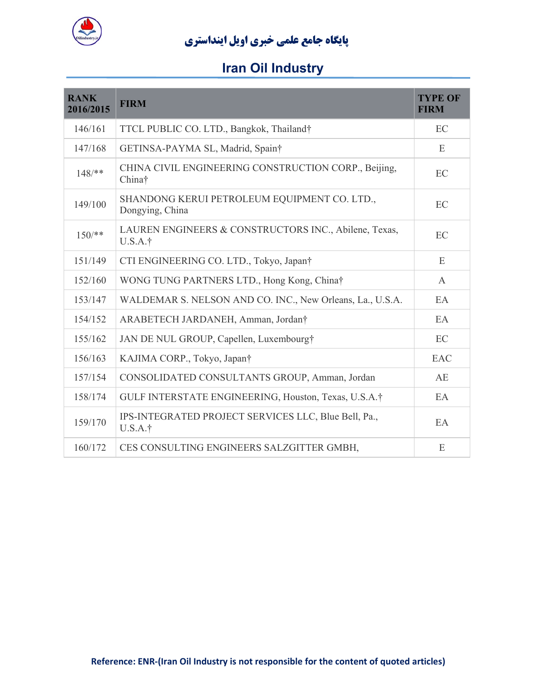

| <b>RANK</b><br>2016/2015 | <b>FIRM</b>                                                      | <b>TYPE OF</b><br><b>FIRM</b> |
|--------------------------|------------------------------------------------------------------|-------------------------------|
| 146/161                  | TTCL PUBLIC CO. LTD., Bangkok, Thailand†                         | EC                            |
| 147/168                  | GETINSA-PAYMA SL, Madrid, Spain†                                 | E                             |
| $148$ /**                | CHINA CIVIL ENGINEERING CONSTRUCTION CORP., Beijing,<br>China†   | EC                            |
| 149/100                  | SHANDONG KERUI PETROLEUM EQUIPMENT CO. LTD.,<br>Dongying, China  | EC                            |
| $150$ /**                | LAUREN ENGINEERS & CONSTRUCTORS INC., Abilene, Texas,<br>U.S.A.† | EC                            |
| 151/149                  | CTI ENGINEERING CO. LTD., Tokyo, Japan†                          | E                             |
| 152/160                  | WONG TUNG PARTNERS LTD., Hong Kong, China†                       | A                             |
| 153/147                  | WALDEMAR S. NELSON AND CO. INC., New Orleans, La., U.S.A.        | EA                            |
| 154/152                  | ARABETECH JARDANEH, Amman, Jordan†                               | EA                            |
| 155/162                  | JAN DE NUL GROUP, Capellen, Luxembourg†                          | EC                            |
| 156/163                  | KAJIMA CORP., Tokyo, Japan†                                      | <b>EAC</b>                    |
| 157/154                  | CONSOLIDATED CONSULTANTS GROUP, Amman, Jordan                    | AE                            |
| 158/174                  | GULF INTERSTATE ENGINEERING, Houston, Texas, U.S.A.†             | EA                            |
| 159/170                  | IPS-INTEGRATED PROJECT SERVICES LLC, Blue Bell, Pa.,<br>U.S.A.†  | EA                            |
| 160/172                  | CES CONSULTING ENGINEERS SALZGITTER GMBH,                        | E                             |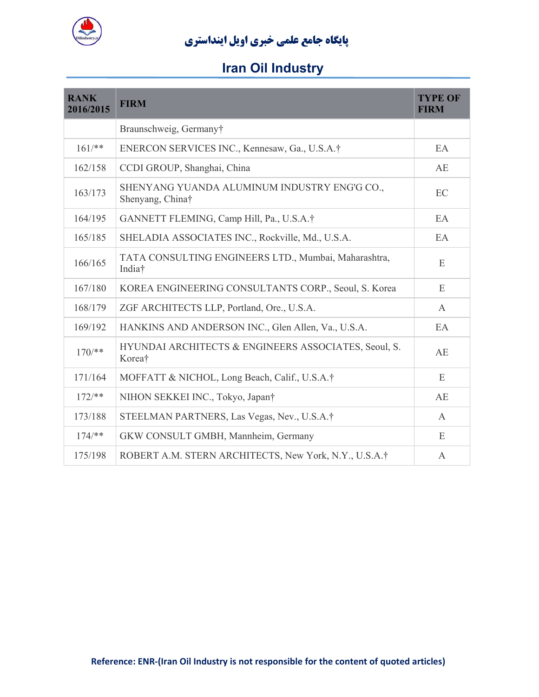

| <b>RANK</b><br>2016/2015 | <b>FIRM</b>                                                      | <b>TYPE OF</b><br><b>FIRM</b> |
|--------------------------|------------------------------------------------------------------|-------------------------------|
|                          | Braunschweig, Germany†                                           |                               |
| $161$ /**                | ENERCON SERVICES INC., Kennesaw, Ga., U.S.A.†                    | EA                            |
| 162/158                  | CCDI GROUP, Shanghai, China                                      | AE                            |
| 163/173                  | SHENYANG YUANDA ALUMINUM INDUSTRY ENG'G CO.,<br>Shenyang, China† | EC                            |
| 164/195                  | GANNETT FLEMING, Camp Hill, Pa., U.S.A.†                         | EA                            |
| 165/185                  | SHELADIA ASSOCIATES INC., Rockville, Md., U.S.A.                 | EA                            |
| 166/165                  | TATA CONSULTING ENGINEERS LTD., Mumbai, Maharashtra,<br>India†   | E                             |
| 167/180                  | KOREA ENGINEERING CONSULTANTS CORP., Seoul, S. Korea             | E                             |
| 168/179                  | ZGF ARCHITECTS LLP, Portland, Ore., U.S.A.                       | $\mathbf{A}$                  |
| 169/192                  | HANKINS AND ANDERSON INC., Glen Allen, Va., U.S.A.               | EA                            |
| $170$ /**                | HYUNDAI ARCHITECTS & ENGINEERS ASSOCIATES, Seoul, S.<br>Korea†   | AE                            |
| 171/164                  | MOFFATT & NICHOL, Long Beach, Calif., U.S.A.†                    | E                             |
| $172/**$                 | NIHON SEKKEI INC., Tokyo, Japan†                                 | AE                            |
| 173/188                  | STEELMAN PARTNERS, Las Vegas, Nev., U.S.A.†                      | A                             |
| $174$ /**                | GKW CONSULT GMBH, Mannheim, Germany                              | E                             |
| 175/198                  | ROBERT A.M. STERN ARCHITECTS, New York, N.Y., U.S.A.†            | A                             |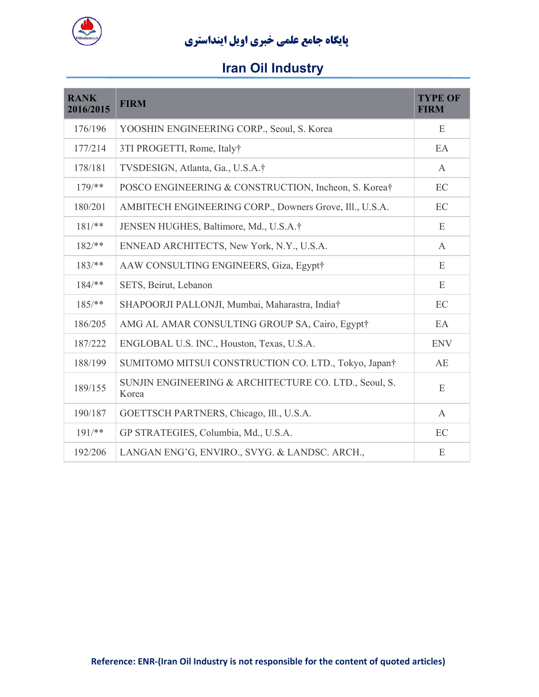

| <b>RANK</b><br>2016/2015 | <b>FIRM</b>                                                    | <b>TYPE OF</b><br><b>FIRM</b> |
|--------------------------|----------------------------------------------------------------|-------------------------------|
| 176/196                  | YOOSHIN ENGINEERING CORP., Seoul, S. Korea                     | E                             |
| 177/214                  | 3TI PROGETTI, Rome, Italy†                                     | EA                            |
| 178/181                  | TVSDESIGN, Atlanta, Ga., U.S.A.†                               | A                             |
| $179$ /**                | POSCO ENGINEERING & CONSTRUCTION, Incheon, S. Korea†           | EC                            |
| 180/201                  | AMBITECH ENGINEERING CORP., Downers Grove, Ill., U.S.A.        | EC                            |
| $181$ /**                | JENSEN HUGHES, Baltimore, Md., U.S.A.†                         | E                             |
| $182/**$                 | ENNEAD ARCHITECTS, New York, N.Y., U.S.A.                      | $\mathbf{A}$                  |
| $183$ /**                | AAW CONSULTING ENGINEERS, Giza, Egypt†                         | E                             |
| $184$ /**                | SETS, Beirut, Lebanon                                          | E                             |
| $185/**$                 | SHAPOORJI PALLONJI, Mumbai, Maharastra, India†                 | EC                            |
| 186/205                  | AMG AL AMAR CONSULTING GROUP SA, Cairo, Egypt†                 | EA                            |
| 187/222                  | ENGLOBAL U.S. INC., Houston, Texas, U.S.A.                     | <b>ENV</b>                    |
| 188/199                  | SUMITOMO MITSUI CONSTRUCTION CO. LTD., Tokyo, Japan†           | AE                            |
| 189/155                  | SUNJIN ENGINEERING & ARCHITECTURE CO. LTD., Seoul, S.<br>Korea | E                             |
| 190/187                  | GOETTSCH PARTNERS, Chicago, Ill., U.S.A.                       | A                             |
| $191$ /**                | GP STRATEGIES, Columbia, Md., U.S.A.                           | EC                            |
| 192/206                  | LANGAN ENG'G, ENVIRO., SVYG. & LANDSC. ARCH.,                  | E                             |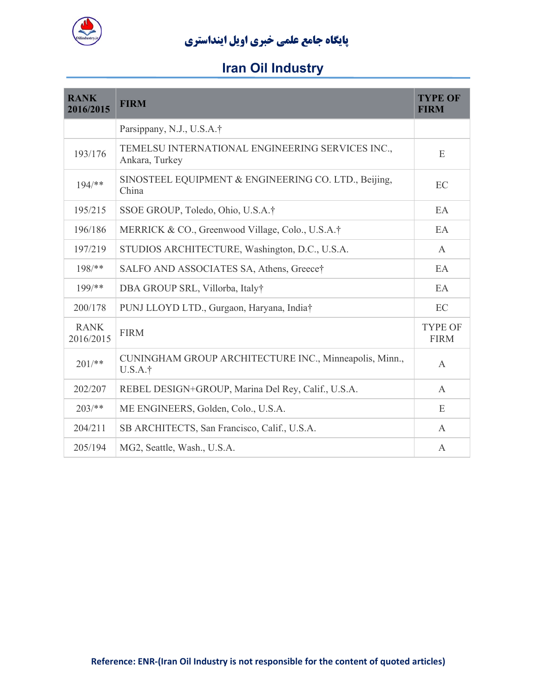

| <b>RANK</b><br>2016/2015 | <b>FIRM</b>                                                        | <b>TYPE OF</b><br><b>FIRM</b> |
|--------------------------|--------------------------------------------------------------------|-------------------------------|
|                          | Parsippany, N.J., U.S.A.†                                          |                               |
| 193/176                  | TEMELSU INTERNATIONAL ENGINEERING SERVICES INC.,<br>Ankara, Turkey | E                             |
| $194/**$                 | SINOSTEEL EQUIPMENT & ENGINEERING CO. LTD., Beijing,<br>China      | EC                            |
| 195/215                  | SSOE GROUP, Toledo, Ohio, U.S.A.†                                  | EA                            |
| 196/186                  | MERRICK & CO., Greenwood Village, Colo., U.S.A.†                   | EA                            |
| 197/219                  | STUDIOS ARCHITECTURE, Washington, D.C., U.S.A.                     | $\mathsf{A}$                  |
| $198$ /**                | SALFO AND ASSOCIATES SA, Athens, Greece†                           | EA                            |
| $199$ /**                | DBA GROUP SRL, Villorba, Italy†                                    | EA                            |
| 200/178                  | PUNJ LLOYD LTD., Gurgaon, Haryana, India†                          | EC                            |
| <b>RANK</b><br>2016/2015 | <b>FIRM</b>                                                        | <b>TYPE OF</b><br><b>FIRM</b> |
| $201/*$                  | CUNINGHAM GROUP ARCHITECTURE INC., Minneapolis, Minn.,<br>U.S.A.†  | $\mathsf{A}$                  |
| 202/207                  | REBEL DESIGN+GROUP, Marina Del Rey, Calif., U.S.A.                 | $\mathsf{A}$                  |
| $203/**$                 | ME ENGINEERS, Golden, Colo., U.S.A.                                | E                             |
| 204/211                  | SB ARCHITECTS, San Francisco, Calif., U.S.A.                       | A                             |
| 205/194                  | MG2, Seattle, Wash., U.S.A.                                        | A                             |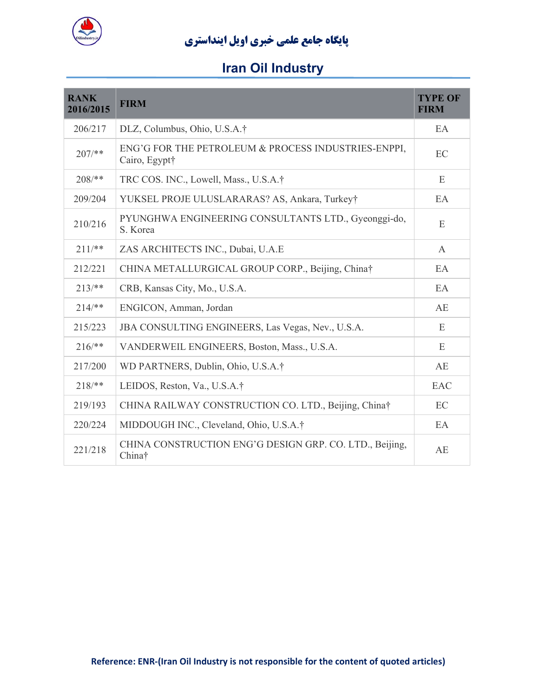

| <b>RANK</b><br>2016/2015 | <b>FIRM</b>                                                          | <b>TYPE OF</b><br><b>FIRM</b> |
|--------------------------|----------------------------------------------------------------------|-------------------------------|
| 206/217                  | DLZ, Columbus, Ohio, U.S.A.†                                         | EA                            |
| $207/**$                 | ENG'G FOR THE PETROLEUM & PROCESS INDUSTRIES-ENPPI,<br>Cairo, Egypt† | EC                            |
| $208/**$                 | TRC COS. INC., Lowell, Mass., U.S.A.†                                | E                             |
| 209/204                  | YUKSEL PROJE ULUSLARARAS? AS, Ankara, Turkey†                        | EA                            |
| 210/216                  | PYUNGHWA ENGINEERING CONSULTANTS LTD., Gyeonggi-do,<br>S. Korea      | E                             |
| $211/*$                  | ZAS ARCHITECTS INC., Dubai, U.A.E                                    | $\mathbf{A}$                  |
| 212/221                  | CHINA METALLURGICAL GROUP CORP., Beijing, China†                     | EA                            |
| $213/**$                 | CRB, Kansas City, Mo., U.S.A.                                        | EA                            |
| $214/**$                 | ENGICON, Amman, Jordan                                               | AE                            |
| 215/223                  | JBA CONSULTING ENGINEERS, Las Vegas, Nev., U.S.A.                    | E                             |
| $216/**$                 | VANDERWEIL ENGINEERS, Boston, Mass., U.S.A.                          | E                             |
| 217/200                  | WD PARTNERS, Dublin, Ohio, U.S.A.†                                   | AE                            |
| $218$ /**                | LEIDOS, Reston, Va., U.S.A.†                                         | EAC                           |
| 219/193                  | CHINA RAILWAY CONSTRUCTION CO. LTD., Beijing, China†                 | EC                            |
| 220/224                  | MIDDOUGH INC., Cleveland, Ohio, U.S.A.†                              | EA                            |
| 221/218                  | CHINA CONSTRUCTION ENG'G DESIGN GRP. CO. LTD., Beijing,<br>China†    | AE                            |